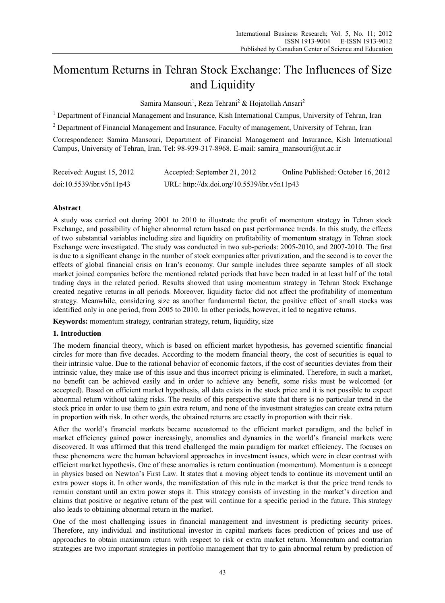# Momentum Returns in Tehran Stock Exchange: The Influences of Size and Liquidity

Samira Mansouri<sup>1</sup>, Reza Tehrani<sup>2</sup> & Hojatollah Ansari<sup>2</sup>

<sup>1</sup> Department of Financial Management and Insurance, Kish International Campus, University of Tehran, Iran

<sup>2</sup> Department of Financial Management and Insurance, Faculty of management, University of Tehran, Iran

Correspondence: Samira Mansouri, Department of Financial Management and Insurance, Kish International Campus, University of Tehran, Iran. Tel: 98-939-317-8968. E-mail: samira\_mansouri@ut.ac.ir

| Received: August 15, 2012 | Accepted: September 21, 2012                | Online Published: October 16, 2012 |
|---------------------------|---------------------------------------------|------------------------------------|
| doi:10.5539/ibr.v5n11p43  | URL: http://dx.doi.org/10.5539/ibr.v5n11p43 |                                    |

# **Abstract**

A study was carried out during 2001 to 2010 to illustrate the profit of momentum strategy in Tehran stock Exchange, and possibility of higher abnormal return based on past performance trends. In this study, the effects of two substantial variables including size and liquidity on profitability of momentum strategy in Tehran stock Exchange were investigated. The study was conducted in two sub-periods: 2005-2010, and 2007-2010. The first is due to a significant change in the number of stock companies after privatization, and the second is to cover the effects of global financial crisis on Iran's economy. Our sample includes three separate samples of all stock market joined companies before the mentioned related periods that have been traded in at least half of the total trading days in the related period. Results showed that using momentum strategy in Tehran Stock Exchange created negative returns in all periods. Moreover, liquidity factor did not affect the profitability of momentum strategy. Meanwhile, considering size as another fundamental factor, the positive effect of small stocks was identified only in one period, from 2005 to 2010. In other periods, however, it led to negative returns.

**Keywords:** momentum strategy, contrarian strategy, return, liquidity, size

# **1. Introduction**

The modern financial theory, which is based on efficient market hypothesis, has governed scientific financial circles for more than five decades. According to the modern financial theory, the cost of securities is equal to their intrinsic value. Due to the rational behavior of economic factors, if the cost of securities deviates from their intrinsic value, they make use of this issue and thus incorrect pricing is eliminated. Therefore, in such a market, no benefit can be achieved easily and in order to achieve any benefit, some risks must be welcomed (or accepted). Based on efficient market hypothesis, all data exists in the stock price and it is not possible to expect abnormal return without taking risks. The results of this perspective state that there is no particular trend in the stock price in order to use them to gain extra return, and none of the investment strategies can create extra return in proportion with risk. In other words, the obtained returns are exactly in proportion with their risk.

After the world's financial markets became accustomed to the efficient market paradigm, and the belief in market efficiency gained power increasingly, anomalies and dynamics in the world's financial markets were discovered. It was affirmed that this trend challenged the main paradigm for market efficiency. The focuses on these phenomena were the human behavioral approaches in investment issues, which were in clear contrast with efficient market hypothesis. One of these anomalies is return continuation (momentum). Momentum is a concept in physics based on Newton's First Law. It states that a moving object tends to continue its movement until an extra power stops it. In other words, the manifestation of this rule in the market is that the price trend tends to remain constant until an extra power stops it. This strategy consists of investing in the market's direction and claims that positive or negative return of the past will continue for a specific period in the future. This strategy also leads to obtaining abnormal return in the market.

One of the most challenging issues in financial management and investment is predicting security prices. Therefore, any individual and institutional investor in capital markets faces prediction of prices and use of approaches to obtain maximum return with respect to risk or extra market return. Momentum and contrarian strategies are two important strategies in portfolio management that try to gain abnormal return by prediction of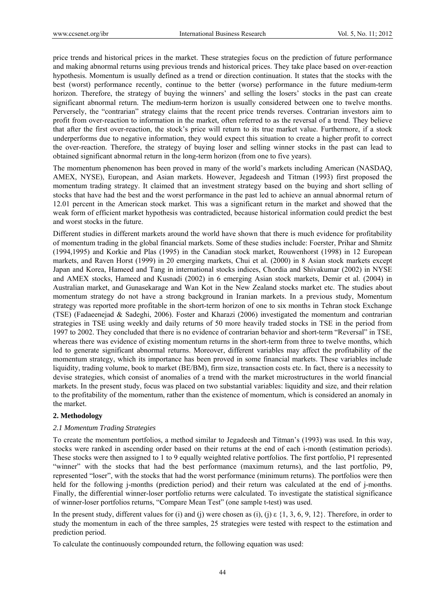price trends and historical prices in the market. These strategies focus on the prediction of future performance and making abnormal returns using previous trends and historical prices. They take place based on over-reaction hypothesis. Momentum is usually defined as a trend or direction continuation. It states that the stocks with the best (worst) performance recently, continue to the better (worse) performance in the future medium-term horizon. Therefore, the strategy of buying the winners' and selling the losers' stocks in the past can create significant abnormal return. The medium-term horizon is usually considered between one to twelve months. Perversely, the "contrarian" strategy claims that the recent price trends reverses. Contrarian investors aim to profit from over-reaction to information in the market, often referred to as the reversal of a trend. They believe that after the first over-reaction, the stock's price will return to its true market value. Furthermore, if a stock underperforms due to negative information, they would expect this situation to create a higher profit to correct the over-reaction. Therefore, the strategy of buying loser and selling winner stocks in the past can lead to obtained significant abnormal return in the long-term horizon (from one to five years).

The momentum phenomenon has been proved in many of the world's markets including American (NASDAQ, AMEX, NYSE), European, and Asian markets. However, Jegadeesh and Titman (1993) first proposed the momentum trading strategy. It claimed that an investment strategy based on the buying and short selling of stocks that have had the best and the worst performance in the past led to achieve an annual abnormal return of 12.01 percent in the American stock market. This was a significant return in the market and showed that the weak form of efficient market hypothesis was contradicted, because historical information could predict the best and worst stocks in the future.

Different studies in different markets around the world have shown that there is much evidence for profitability of momentum trading in the global financial markets. Some of these studies include: Foerster, Prihar and Shmitz (1994,1995) and Korkie and Plas (1995) in the Canadian stock market, Rouwenhorst (1998) in 12 European markets, and Raven Horst (1999) in 20 emerging markets, Chui et al. (2000) in 8 Asian stock markets except Japan and Korea, Hameed and Tang in international stocks indices, Chordia and Shivakumar (2002) in NYSE and AMEX stocks, Hameed and Kusnadi (2002) in 6 emerging Asian stock markets, Demir et al. (2004) in Australian market, and Gunasekarage and Wan Kot in the New Zealand stocks market etc. The studies about momentum strategy do not have a strong background in Iranian markets. In a previous study, Momentum strategy was reported more profitable in the short-term horizon of one to six months in Tehran stock Exchange (TSE) (Fadaeenejad & Sadeghi, 2006). Foster and Kharazi (2006) investigated the momentum and contrarian strategies in TSE using weekly and daily returns of 50 more heavily traded stocks in TSE in the period from 1997 to 2002. They concluded that there is no evidence of contrarian behavior and short-term "Reversal" in TSE, whereas there was evidence of existing momentum returns in the short-term from three to twelve months, which led to generate significant abnormal returns. Moreover, different variables may affect the profitability of the momentum strategy, which its importance has been proved in some financial markets. These variables include liquidity, trading volume, book to market (BE/BM), firm size, transaction costs etc. In fact, there is a necessity to devise strategies, which consist of anomalies of a trend with the market microstructures in the world financial markets. In the present study, focus was placed on two substantial variables: liquidity and size, and their relation to the profitability of the momentum, rather than the existence of momentum, which is considered an anomaly in the market.

# **2. Methodology**

#### *2.1 Momentum Trading Strategies*

To create the momentum portfolios, a method similar to Jegadeesh and Titman's (1993) was used. In this way, stocks were ranked in ascending order based on their returns at the end of each i-month (estimation periods). These stocks were then assigned to 1 to 9 equally weighted relative portfolios. The first portfolio, P1 represented "winner" with the stocks that had the best performance (maximum returns), and the last portfolio, P9, represented "loser", with the stocks that had the worst performance (minimum returns). The portfolios were then held for the following j-months (prediction period) and their return was calculated at the end of j-months. Finally, the differential winner-loser portfolio returns were calculated. To investigate the statistical significance of winner-loser portfolios returns, "Compare Mean Test" (one sample t-test) was used.

In the present study, different values for (i) and (j) were chosen as (i), (j)  $\varepsilon$  {1, 3, 6, 9, 12}. Therefore, in order to study the momentum in each of the three samples, 25 strategies were tested with respect to the estimation and prediction period.

To calculate the continuously compounded return, the following equation was used: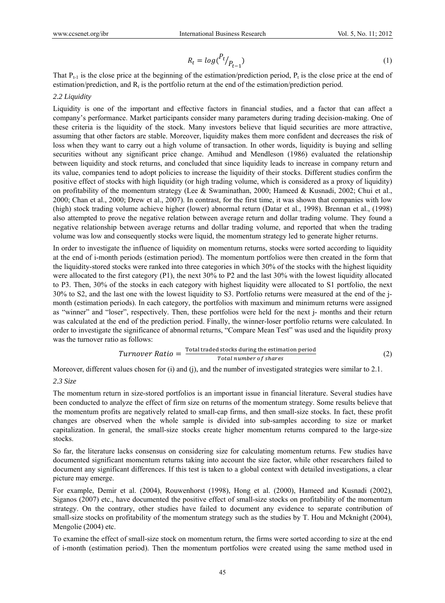$$
R_t = \log(\frac{P_t}{P_{t-1}}) \tag{1}
$$

That  $P_{t-1}$  is the close price at the beginning of the estimation/prediction period,  $P_t$  is the close price at the end of estimation/prediction, and  $R_t$  is the portfolio return at the end of the estimation/prediction period.

#### *2.2 Liquidity*

Liquidity is one of the important and effective factors in financial studies, and a factor that can affect a company's performance. Market participants consider many parameters during trading decision-making. One of these criteria is the liquidity of the stock. Many investors believe that liquid securities are more attractive, assuming that other factors are stable. Moreover, liquidity makes them more confident and decreases the risk of loss when they want to carry out a high volume of transaction. In other words, liquidity is buying and selling securities without any significant price change. Amihud and Mendleson (1986) evaluated the relationship between liquidity and stock returns, and concluded that since liquidity leads to increase in company return and its value, companies tend to adopt policies to increase the liquidity of their stocks. Different studies confirm the positive effect of stocks with high liquidity (or high trading volume, which is considered as a proxy of liquidity) on profitability of the momentum strategy (Lee & Swaminathan, 2000; Hameed & Kusnadi, 2002; Chui et al., 2000; Chan et al., 2000; Drew et al., 2007). In contrast, for the first time, it was shown that companies with low (high) stock trading volume achieve higher (lower) abnormal return (Datar et al., 1998). Brennan et al., (1998) also attempted to prove the negative relation between average return and dollar trading volume. They found a negative relationship between average returns and dollar trading volume, and reported that when the trading volume was low and consequently stocks were liquid, the momentum strategy led to generate higher returns.

In order to investigate the influence of liquidity on momentum returns, stocks were sorted according to liquidity at the end of i-month periods (estimation period). The momentum portfolios were then created in the form that the liquidity-stored stocks were ranked into three categories in which 30% of the stocks with the highest liquidity were allocated to the first category (P1), the next 30% to P2 and the last 30% with the lowest liquidity allocated to P3. Then, 30% of the stocks in each category with highest liquidity were allocated to S1 portfolio, the next 30% to S2, and the last one with the lowest liquidity to S3. Portfolio returns were measured at the end of the jmonth (estimation periods). In each category, the portfolios with maximum and minimum returns were assigned as "winner" and "loser", respectively. Then, these portfolios were held for the next j- months and their return was calculated at the end of the prediction period. Finally, the winner-loser portfolio returns were calculated. In order to investigate the significance of abnormal returns, "Compare Mean Test" was used and the liquidity proxy was the turnover ratio as follows:

$$
Turnover Ratio = \frac{Total traded stocks during the estimation period}{Total number of shares}
$$
 (2)

Moreover, different values chosen for (i) and (j), and the number of investigated strategies were similar to 2.1.

*2.3 Size* 

The momentum return in size-stored portfolios is an important issue in financial literature. Several studies have been conducted to analyze the effect of firm size on returns of the momentum strategy. Some results believe that the momentum profits are negatively related to small-cap firms, and then small-size stocks. In fact, these profit changes are observed when the whole sample is divided into sub-samples according to size or market capitalization. In general, the small-size stocks create higher momentum returns compared to the large-size stocks.

So far, the literature lacks consensus on considering size for calculating momentum returns. Few studies have documented significant momentum returns taking into account the size factor, while other researchers failed to document any significant differences. If this test is taken to a global context with detailed investigations, a clear picture may emerge.

For example, Demir et al. (2004), Rouwenhorst (1998), Hong et al. (2000), Hameed and Kusnadi (2002), Siganos (2007) etc., have documented the positive effect of small-size stocks on profitability of the momentum strategy. On the contrary, other studies have failed to document any evidence to separate contribution of small-size stocks on profitability of the momentum strategy such as the studies by T. Hou and Mcknight (2004), Mengolie (2004) etc.

To examine the effect of small-size stock on momentum return, the firms were sorted according to size at the end of i-month (estimation period). Then the momentum portfolios were created using the same method used in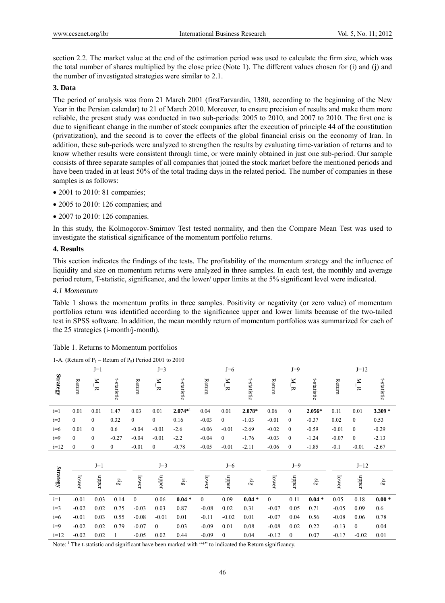section 2.2. The market value at the end of the estimation period was used to calculate the firm size, which was the total number of shares multiplied by the close price (Note 1). The different values chosen for (i) and (j) and the number of investigated strategies were similar to 2.1.

# **3. Data**

The period of analysis was from 21 March 2001 (firstFarvardin, 1380, according to the beginning of the New Year in the Persian calendar) to 21 of March 2010. Moreover, to ensure precision of results and make them more reliable, the present study was conducted in two sub-periods: 2005 to 2010, and 2007 to 2010. The first one is due to significant change in the number of stock companies after the execution of principle 44 of the constitution (privatization), and the second is to cover the effects of the global financial crisis on the economy of Iran. In addition, these sub-periods were analyzed to strengthen the results by evaluating time-variation of returns and to know whether results were consistent through time, or were mainly obtained in just one sub-period. Our sample consists of three separate samples of all companies that joined the stock market before the mentioned periods and have been traded in at least 50% of the total trading days in the related period. The number of companies in these samples is as follows:

- 2001 to 2010: 81 companies;
- 2005 to 2010: 126 companies; and
- 2007 to 2010: 126 companies.

In this study, the Kolmogorov-Smirnov Test tested normality, and then the Compare Mean Test was used to investigate the statistical significance of the momentum portfolio returns.

# **4. Results**

This section indicates the findings of the tests. The profitability of the momentum strategy and the influence of liquidity and size on momentum returns were analyzed in three samples. In each test, the monthly and average period return, T-statistic, significance, and the lower/ upper limits at the 5% significant level were indicated.

# *4.1 Momentum*

Table 1 shows the momentum profits in three samples. Positivity or negativity (or zero value) of momentum portfolios return was identified according to the significance upper and lower limits because of the two-tailed test in SPSS software. In addition, the mean monthly return of momentum portfolios was summarized for each of the 25 strategies (i-month/j-month).

|                 | 1-A, (Return 01 I $\vert$ – Return 01 I $\vert$ ) I chou 2001 to 2010 |                |                         |                  |               |                         |          |                  |                    |          |                     |                     |         |                           |             |
|-----------------|-----------------------------------------------------------------------|----------------|-------------------------|------------------|---------------|-------------------------|----------|------------------|--------------------|----------|---------------------|---------------------|---------|---------------------------|-------------|
|                 |                                                                       | $J=1$          |                         |                  | $J=3$         |                         |          | $J=6$            |                    |          | $J=9$               |                     |         | $J=12$                    |             |
| Strategy        | Return                                                                | $\overline{R}$ | t-statistic             | Return           | $\frac{N}{R}$ | t-statistic             | Return   | $\sum_{k=1}^{N}$ | t-statistic        | Return   | $\sum_{\mathbf{K}}$ | t-statistic         | Return  | $\mathbf{N}$ $\mathbf{R}$ | t-statistic |
| $i=1$           | 0.01                                                                  | 0.01           | 1.47                    | 0.03             | 0.01          | $2.074*$                | 0.04     | 0.01             | 2.078*             | 0.06     | $\mathbf{0}$        | 2.056*              | 0.11    | 0.01                      | $3.309*$    |
| $i=3$           | $\overline{0}$                                                        | $\mathbf{0}$   | 0.32                    | $\mathbf{0}$     | $\mathbf{0}$  | 0.16                    | $-0.03$  | $\boldsymbol{0}$ | $-1.03$            | $-0.01$  | $\boldsymbol{0}$    | $-0.37$             | 0.02    | $\boldsymbol{0}$          | 0.53        |
| $i=6$           | 0.01                                                                  | $\mathbf{0}$   | 0.6                     | $-0.04$          | $-0.01$       | $-2.6$                  | $-0.06$  | $-0.01$          | $-2.69$            | $-0.02$  | $\boldsymbol{0}$    | $-0.59$             | $-0.01$ | $\mathbf{0}$              | $-0.29$     |
| $i=9$           | $\mathbf{0}$                                                          | $\mathbf{0}$   | $-0.27$                 | $-0.04$          | $-0.01$       | $-2.2$                  | $-0.04$  | $\mathbf{0}$     | $-1.76$            | $-0.03$  | $\boldsymbol{0}$    | $-1.24$             | $-0.07$ | $\mathbf{0}$              | $-2.13$     |
| $i=12$          | $\theta$                                                              | $\mathbf{0}$   | $\mathbf{0}$            | $-0.01$          | $\mathbf{0}$  | $-0.78$                 | $-0.05$  | $-0.01$          | $-2.11$            | $-0.06$  | $\overline{0}$      | $-1.85$             | $-0.1$  | $-0.01$                   | $-2.67$     |
|                 |                                                                       |                |                         |                  |               |                         |          |                  |                    |          |                     |                     |         |                           |             |
|                 |                                                                       | $J=1$          |                         |                  | $J=3$         |                         |          | $J=6$            |                    |          | $J=9$               |                     |         | $J=12$                    |             |
| <b>Strategy</b> | lower                                                                 | mber           | $\overline{\mathbf{g}}$ | lower            | nbber         | $\overline{\mathbf{a}}$ | lower    | nbber            | $\ddot{\tilde{g}}$ | lower    | nbber               | $\ddot{\mathbf{g}}$ | lower   | nbber                     | $\ddot{sl}$ |
| $i=1$           | $-0.01$                                                               | 0.03           | 0.14                    | $\boldsymbol{0}$ | 0.06          | $0.04*$                 | $\Omega$ | 0.09             | $0.04*$            | $\theta$ | 0.11                | $0.04*$             | 0.05    | 0.18                      | $0.00*$     |
| $i=3$           | $-0.02$                                                               | 0.02           | 0.75                    | $-0.03$          | 0.03          | 0.87                    | $-0.08$  | 0.02             | 0.31               | $-0.07$  | 0.05                | 0.71                | $-0.05$ | 0.09                      | 0.6         |
| $i=6$           | $-0.01$                                                               | 0.03           | 0.55                    | $-0.08$          | $-0.01$       | 0.01                    | $-0.11$  | $-0.02$          | 0.01               | $-0.07$  | 0.04                | 0.56                | $-0.08$ | 0.06                      | 0.78        |
| $i=9$           | $-0.02$                                                               | 0.02           | 0.79                    | $-0.07$          | 0             | 0.03                    | $-0.09$  | 0.01             | 0.08               | $-0.08$  | 0.02                | 0.22                | $-0.13$ | $\overline{0}$            | 0.04        |
| $i=12$          | $-0.02$                                                               | 0.02           | 1                       | $-0.05$          | 0.02          | 0.44                    | $-0.09$  | $\overline{0}$   | 0.04               | $-0.12$  | $\overline{0}$      | 0.07                | $-0.17$ | $-0.02$                   | 0.01        |

| 1-A. (Return of $P_1$ – Return of $P_9$ ) Period 2001 to 2010 |  |  |  |
|---------------------------------------------------------------|--|--|--|
|                                                               |  |  |  |

Note: <sup>1</sup> The t-statistic and significant have been marked with "\*" to indicated the Return significancy.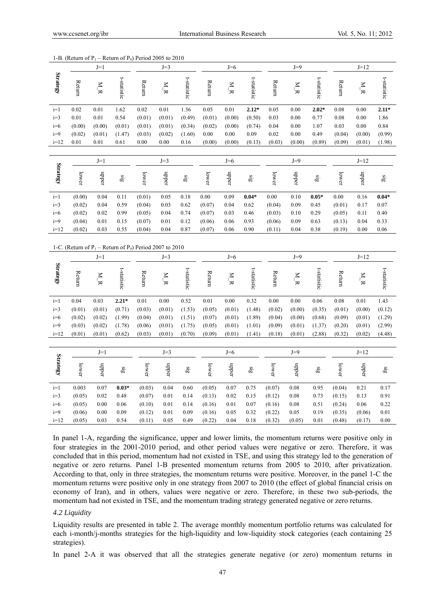|                 |        | $J=1$               |                         | $J=3$                                                         |                     |                         |        | $J=6$               |                            |        | $J=9$                   |                         |        | $J=12$                    |                           |
|-----------------|--------|---------------------|-------------------------|---------------------------------------------------------------|---------------------|-------------------------|--------|---------------------|----------------------------|--------|-------------------------|-------------------------|--------|---------------------------|---------------------------|
| <b>Strategy</b> | Return | $\sum_{\mathbf{K}}$ | t-statistic             | Return                                                        | $\bar{\kappa}$      | t-statistic             | Return | $\bar{\kappa}$      | t-statistic                | Return | $\sum_{\mathbf{K}}$     | t-statistic             | Return | $\mathbf{M} \mathbf{R}$   | t-statistic               |
| $i=1$           | 0.02   | 0.01                | 1.62                    | 0.02                                                          | 0.01                | 1.36                    | 0.05   | $0.01\,$            | $2.12*$                    | 0.05   | $0.00\,$                | $2.02*$                 | 0.08   | 0.00                      | $2.11*$                   |
| $i=3$           | 0.01   | 0.01                | 0.54                    | (0.01)                                                        | (0.01)              | (0.49)                  | (0.01) | (0.00)              | (0.50)                     | 0.03   | 0.00                    | 0.77                    | 0.08   | 0.00                      | 1.86                      |
| $i=6$           | (0.00) | (0.00)              | (0.01)                  | (0.01)                                                        | (0.01)              | (0.34)                  | (0.02) | (0.00)              | (0.74)                     | 0.04   | $0.00\,$                | 1.07                    | 0.03   | 0.00                      | 0.84                      |
| $i=9$           | (0.02) | (0.01)              | (1.47)                  | (0.03)                                                        | (0.02)              | (1.60)                  | 0.00   | 0.00                | 0.09                       | 0.02   | $0.00\,$                | 0.49                    | (0.04) | (0.00)                    | (0.99)                    |
| $i=12$          | 0.01   | 0.01                | 0.61                    | 0.00                                                          | 0.00                | 0.16                    | (0.00) | (0.00)              | (0.13)                     | (0.03) | (0.00)                  | (0.89)                  | (0.09) | (0.01)                    | (1.98)                    |
|                 |        |                     |                         |                                                               |                     |                         |        |                     |                            |        |                         |                         |        |                           |                           |
|                 |        | $J=1$               |                         |                                                               | $J=3$               |                         |        | $J=6$               |                            |        | $J=9$                   |                         |        | $J=12$                    |                           |
| <b>Strategy</b> | lower  | nbber               | $\overline{\mathbf{g}}$ | lower                                                         | nbber               | $\overline{\mathbf{g}}$ | lower  | nbber               | $\overline{\mathbf{g}}_B$  | lower  | nbber                   | $\overline{\mathbf{g}}$ | lower  | nbber                     | $\overline{\mathbf{g}}_B$ |
| $i=1$           | (0.00) | 0.04                | 0.11                    | (0.01)                                                        | 0.05                | 0.18                    | 0.00   | 0.09                | $0.04*$                    | 0.00   | 0.10                    | $0.05*$                 | 0.00   | 0.16                      | $0.04*$                   |
| $i=3$           | (0.02) | 0.04                | 0.59                    | (0.04)                                                        | 0.03                | 0.62                    | (0.07) | 0.04                | 0.62                       | (0.04) | 0.09                    | 0.45                    | (0.01) | 0.17                      | 0.07                      |
| $i=6$           | (0.02) | 0.02                | 0.99                    | (0.05)                                                        | 0.04                | 0.74                    | (0.07) | 0.03                | 0.46                       | (0.03) | 0.10                    | 0.29                    | (0.05) | 0.11                      | 0.40                      |
| $i=9$           | (0.04) | 0.01                | 0.15                    | (0.07)                                                        | 0.01                | 0.12                    | (0.06) | 0.06                | 0.93                       | (0.06) | 0.09                    | 0.63                    | (0.13) | 0.04                      | 0.33                      |
| $i=12$          | (0.02) | 0.03                | 0.55                    | (0.04)                                                        | 0.04                | 0.87                    | (0.07) | 0.06                | 0.90                       | (0.11) | 0.04                    | 0.38                    | (0.19) | 0.00                      | 0.06                      |
|                 |        |                     |                         | 1-C. (Return of $P_1$ – Return of $P_9$ ) Period 2007 to 2010 |                     |                         |        |                     |                            |        |                         |                         |        |                           |                           |
|                 |        | $J=1$               |                         |                                                               | $J=3$               |                         |        | $J=6$               |                            |        | $J=9$                   |                         |        | $J=12$                    |                           |
| <b>Strategy</b> | Return | $\sum_{\mathbf{K}}$ | t-statistic             | Return                                                        | $\sum_{\mathbf{K}}$ | t-statistic             | Return | $\sum_{\mathbf{K}}$ | t-statistic                | Return | $\mathbf{M} \mathbf{R}$ | t-statistic             | Return | $\mathbf{M}$ $\mathbf{R}$ | t-statistic               |
| $i=1$           | 0.04   | 0.03                | $2.21*$                 | 0.01                                                          | 0.00                | 0.52                    | 0.01   | 0.00                | 0.32                       | 0.00   | 0.00                    | 0.06                    | 0.08   | 0.01                      | 1.43                      |
| $i=3$           | (0.01) | (0.01)              | (0.71)                  | (0.03)                                                        | (0.01)              | (1.53)                  | (0.05) | (0.01)              | (1.48)                     | (0.02) | (0.00)                  | (0.35)                  | (0.01) | (0.00)                    | (0.12)                    |
| $i=6$           | (0.02) | (0.02)              | (1.99)                  | (0.04)                                                        | (0.01)              | (1.51)                  | (0.07) | (0.01)              | (1.89)                     | (0.04) | (0.00)                  | (0.68)                  | (0.09) | (0.01)                    | (1.29)                    |
| $i=9$           | (0.03) | (0.02)              | (1.78)                  | (0.06)                                                        | (0.01)              | (1.75)                  | (0.05) | (0.01)              | (1.01)                     | (0.09) | (0.01)                  | (1.37)                  | (0.20) | (0.01)                    | (2.99)                    |
| $i=12$          | (0.01) | (0.01)              | (0.62)                  | (0.03)                                                        | (0.01)              | (0.70)                  | (0.09) | (0.01)              | (1.41)                     | (0.18) | (0.01)                  | (2.88)                  | (0.32) | (0.02)                    | (4.48)                    |
|                 |        |                     |                         |                                                               |                     |                         |        |                     |                            |        |                         |                         |        |                           |                           |
|                 |        | $J=1$               |                         |                                                               | $J=3$               |                         |        | $J=6$               |                            |        | $J=9$                   |                         |        | $J=12$                    |                           |
| <b>Strategy</b> | lower  | nbber               | $\overline{\mathbf{g}}$ | lower                                                         | nbber               | $\frac{1}{25}$          | lower  | nbber               | $\overline{\mathbf{g}}$ is | lower  | nbber                   | $\overline{\mathbf{g}}$ | lower  | nbbar                     | $\frac{1}{25}$            |
| $i=1$           | 0.003  | 0.07                | $0.03*$                 | (0.03)                                                        | 0.04                | 0.60                    | (0.05) | 0.07                | 0.75                       | (0.07) | 0.08                    | 0.95                    | (0.04) | 0.21                      | 0.17                      |
| $i=3$           | (0.05) | 0.02                | 0.48                    | (0.07)                                                        | 0.01                | 0.14                    | (0.13) | 0.02                | 0.15                       | (0.12) | 0.08                    | 0.73                    | (0.15) | 0.13                      | 0.91                      |
| $i=6$           | (0.05) | 0.00                | 0.06                    | (0.10)                                                        | 0.01                | 0.14                    | (0.16) | 0.01                | 0.07                       | (0.16) | 0.08                    | 0.51                    | (0.24) | 0.06                      | 0.22                      |
| $i=9$           | (0.06) | 0.00                | 0.09                    | (0.12)                                                        | 0.01                | 0.09                    | (0.16) | 0.05                | 0.32                       | (0.22) | 0.05                    | 0.19                    | (0.35) | (0.06)                    | 0.01                      |
| $i=12$          | (0.05) | 0.03                | 0.54                    | (0.11)                                                        | 0.05                | 0.49                    | (0.22) | 0.04                | 0.18                       | (0.32) | (0.05)                  | 0.01                    | (0.48) | (0.17)                    | 0.00                      |

<sup>1-</sup>B. (Return of  $P_1$  – Return of  $P_9$ ) Period 2005 to 2010

In panel 1-A, regarding the significance, upper and lower limits, the momentum returns were positive only in four strategies in the 2001-2010 period, and other period values were negative or zero. Therefore, it was concluded that in this period, momentum had not existed in TSE, and using this strategy led to the generation of negative or zero returns. Panel 1-B presented momentum returns from 2005 to 2010, after privatization. According to that, only in three strategies, the momentum returns were positive. Moreover, in the panel 1-C the momentum returns were positive only in one strategy from 2007 to 2010 (the effect of global financial crisis on economy of Iran), and in others, values were negative or zero. Therefore, in these two sub-periods, the momentum had not existed in TSE, and the momentum trading strategy generated negative or zero returns.

#### *4.2 Liquidity*

Liquidity results are presented in table 2. The average monthly momentum portfolio returns was calculated for each i-month/j-months strategies for the high-liquidity and low-liquidity stock categories (each containing 25 strategies).

In panel 2-A it was observed that all the strategies generate negative (or zero) momentum returns in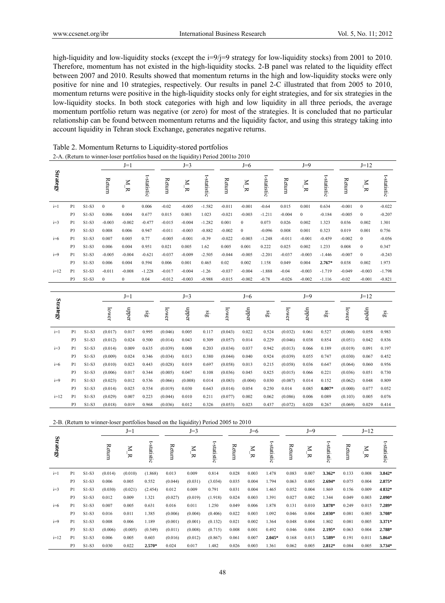high-liquidity and low-liquidity stocks (except the i=9/j=9 strategy for low-liquidity stocks) from 2001 to 2010. Therefore, momentum has not existed in the high-liquidity stocks. 2-B panel was related to the liquidity effect between 2007 and 2010. Results showed that momentum returns in the high and low-liquidity stocks were only positive for nine and 10 strategies, respectively. Our results in panel 2-C illustrated that from 2005 to 2010, momentum returns were positive in the high-liquidity stocks only for eight strategies, and for six strategies in the low-liquidity stocks. In both stock categories with high and low liquidity in all three periods, the average momentum portfolio return was negative (or zero) for most of the strategies. It is concluded that no particular relationship can be found between momentum returns and the liquidity factor, and using this strategy taking into account liquidity in Tehran stock Exchange, generates negative returns.

|                 |                |         |                  | $J=1$            |                            |          | $J=3$            |                            |               | $J=6$                         |                            |          | $J=9$            |                         |          | $J=12$              |                         |
|-----------------|----------------|---------|------------------|------------------|----------------------------|----------|------------------|----------------------------|---------------|-------------------------------|----------------------------|----------|------------------|-------------------------|----------|---------------------|-------------------------|
| <b>Strategy</b> |                |         | Return           | $\sum_{i=1}^{N}$ | t-statistic                | Return   | $\sum_{i=1}^{n}$ | t-statistic                | <b>Return</b> | $\overline{M}$ $\overline{R}$ | t-statistic                | Return   | $\overline{R}$   | t-statistic             | Return   | $\sum_{\mathbf{R}}$ | t-statistic             |
| $i=1$           | P <sub>1</sub> | $S1-S3$ | $\boldsymbol{0}$ | $\boldsymbol{0}$ | 0.006                      | $-0.02$  | $-0.005$         | $-1.582$                   | $-0.011$      | $-0.001$                      | $-0.64$                    | 0.015    | 0.001            | 0.634                   | $-0.001$ | $\bf{0}$            | $-0.022$                |
|                 | P <sub>3</sub> | $S1-S3$ | 0.006            | 0.004            | 0.677                      | 0.015    | 0.003            | 1.023                      | $-0.021$      | $-0.003$                      | $-1.211$                   | $-0.004$ | $\boldsymbol{0}$ | $-0.184$                | $-0.005$ | $\boldsymbol{0}$    | $-0.207$                |
| $i=3$           | P1             | $S1-S3$ | $-0.003$         | $-0.002$         | $-0.477$                   | $-0.015$ | $-0.004$         | $-1.282$                   | 0.001         | $\boldsymbol{0}$              | 0.073                      | 0.026    | 0.002            | 1.323                   | 0.036    | 0.002               | 1.301                   |
|                 | P <sub>3</sub> | $S1-S3$ | 0.008            | 0.006            | 0.947                      | $-0.011$ | $-0.003$         | $-0.882$                   | $-0.002$      | $\boldsymbol{0}$              | $-0.096$                   | 0.008    | 0.001            | 0.323                   | 0.019    | 0.001               | 0.756                   |
| $i=6$           | P <sub>1</sub> | $S1-S3$ | 0.007            | 0.005            | 0.77                       | $-0.005$ | $-0.001$         | $-0.39$                    | $-0.022$      | $-0.003$                      | $-1.248$                   | $-0.011$ | $-0.001$         | $-0.459$                | $-0.002$ | $\boldsymbol{0}$    | $-0.056$                |
|                 | P <sub>3</sub> | $S1-S3$ | 0.006            | 0.004            | 0.951                      | 0.021    | 0.005            | 1.62                       | 0.005         | 0.001                         | 0.222                      | 0.025    | 0.002            | 1.233                   | 0.008    | $\boldsymbol{0}$    | 0.347                   |
| $i=9$           | P <sub>1</sub> | $S1-S3$ | $-0.005$         | $-0.004$         | $-0.621$                   | $-0.037$ | $-0.009$         | $-2.505$                   | $-0.044$      | $-0.005$                      | $-2.201$                   | $-0.037$ | $-0.003$         | $-1.446$                | $-0.007$ | $\boldsymbol{0}$    | $-0.243$                |
|                 | P <sub>3</sub> | $S1-S3$ | 0.006            | 0.004            | 0.594                      | 0.006    | 0.001            | 0.465                      | 0.02          | 0.002                         | 1.158                      | 0.049    | 0.004            | 2.767*                  | 0.038    | 0.002               | 1.973                   |
| $i=12$          | P <sub>1</sub> | $S1-S3$ | $-0.011$         | $-0.008$         | $-1.228$                   | $-0.017$ | $-0.004$         | $-1.26$                    | $-0.037$      | $-0.004$                      | $-1.888$                   | $-0.04$  | $-0.003$         | $-1.719$                | $-0.049$ | $-0.003$            | $-1.798$                |
|                 | P3             | $S1-S3$ | $\boldsymbol{0}$ | $\boldsymbol{0}$ | 0.04                       | $-0.012$ | $-0.003$         | $-0.988$                   | $-0.015$      | $-0.002$                      | $-0.78$                    | $-0.026$ | $-0.002$         | $-1.116$                | $-0.02$  | $-0.001$            | $-0.821$                |
|                 |                |         |                  |                  |                            |          |                  |                            |               |                               |                            |          |                  |                         |          |                     |                         |
|                 |                |         |                  | $J=1$            |                            |          | $J=3$            |                            |               | $J=6$                         |                            |          | $J=9$            |                         |          | $J=12$              |                         |
| <b>Strategy</b> |                |         | lower            | mbber            | $\overline{\mathfrak{so}}$ | lower    | addn             | $\overline{\mathfrak{so}}$ | lower         | mbpra                         | $\overline{\mathfrak{so}}$ | lower    | addn             | $\overline{\mathbf{g}}$ | lower    | mbber               | $\overline{\mathbf{g}}$ |
| $i=1$           |                |         |                  |                  |                            |          |                  |                            |               |                               |                            |          |                  |                         |          |                     |                         |
|                 | P <sub>1</sub> | $S1-S3$ | (0.017)          | 0.017            | 0.995                      | (0.046)  | 0.005            | 0.117                      | (0.043)       | 0.022                         | 0.524                      | (0.032)  | 0.061            | 0.527                   | (0.060)  | 0.058               | 0.983                   |
|                 | P3             | $S1-S3$ | (0.012)          | 0.024            | 0.500                      | (0.014)  | 0.043            | 0.309                      | (0.057)       | 0.014                         | 0.229                      | (0.046)  | 0.038            | 0.854                   | (0.051)  | 0.042               | 0.836                   |
| $i=3$           | P1             | $S1-S3$ | (0.014)          | 0.009            | 0.635                      | (0.039)  | 0.008            | 0.203                      | (0.034)       | 0.037                         | 0.942                      | (0.013)  | 0.066            | 0.189                   | (0.019)  | 0.091               | 0.197                   |
|                 | P <sub>3</sub> | $S1-S3$ | (0.009)          | 0.024            | 0.346                      | (0.034)  | 0.013            | 0.380                      | (0.044)       | 0.040                         | 0.924                      | (0.039)  | 0.055            | 0.747                   | (0.030)  | 0.067               | 0.452                   |
| $i=6$           | P <sub>1</sub> | $S1-S3$ | (0.010)          | 0.023            | 0.443                      | (0.028)  | 0.019            | 0.697                      | (0.058)       | 0.013                         | 0.215                      | (0.058)  | 0.036            | 0.647                   | (0.064)  | 0.060               | 0.956                   |
|                 | P <sub>3</sub> | $S1-S3$ | (0.006)          | 0.017            | 0.344                      | (0.005)  | 0.047            | 0.108                      | (0.036)       | 0.045                         | 0.825                      | (0.015)  | 0.066            | 0.221                   | (0.036)  | 0.051               | 0.730                   |
| $i=9$           | P <sub>1</sub> | $S1-S3$ | (0.023)          | 0.012            | 0.536                      | (0.066)  | (0.008)          | 0.014                      | (0.083)       | (0.004)                       | 0.030                      | (0.087)  | 0.014            | 0.152                   | (0.062)  | 0.048               | 0.809                   |
|                 | P3             | $S1-S3$ | (0.014)          | 0.025            | 0.554                      | (0.019)  | 0.030            | 0.643                      | (0.014)       | 0.054                         | 0.250                      | 0.014    | 0.085            | $0.007*$                | (0.000)  | 0.077               | 0.052                   |
| $i=12$          | P <sub>1</sub> | $S1-S3$ | (0.029)          | 0.007            | 0.223                      | (0.044)  | 0.010            | 0.211                      | (0.077)       | 0.002                         | 0.062                      | (0.086)  | 0.006            | 0.089                   | (0.103)  | 0.005               | 0.076                   |
|                 | P <sub>3</sub> | $S1-S3$ | (0.018)          | 0.019            | 0.968                      | (0.036)  | 0.012            | 0.326                      | (0.053)       | 0.023                         | 0.437                      | (0.072)  | 0.020            | 0.267                   | (0.069)  | 0.029               | 0.414                   |

Table 2. Momentum Returns to Liquidity-stored portfolios 2-A. (Return to winner-loser portfolios based on the liquidity) Period 2001to 2010

|          |                |         |         |             | $2$ -B. (Return to winner-loser portionos based on the inductive) Period 2005 to 2010 |         |         |             |        |             |             |        |             |             |        |        |             |
|----------|----------------|---------|---------|-------------|---------------------------------------------------------------------------------------|---------|---------|-------------|--------|-------------|-------------|--------|-------------|-------------|--------|--------|-------------|
|          |                |         |         | $J=1$       |                                                                                       |         | $J=3$   |             |        | $J=6$       |             |        | $J=9$       |             |        | $J=12$ |             |
| Strategy |                |         | Return  | $\leq$<br>≂ | t-statistic                                                                           | Return  | Z<br>₩  | t-statistic | Return | $\leq$<br>₩ | t-statistic | Return | $\geq$<br>₩ | t-statistic | Return | z<br>₩ | t-statistic |
| $i=1$    | P1             | $S1-S3$ | (0.014) | (0.010)     | (1.868)                                                                               | 0.013   | 0.009   | 0.814       | 0.028  | 0.003       | 1.478       | 0.083  | 0.007       | 3.362*      | 0.133  | 0.008  | 3.842*      |
|          | P <sub>3</sub> | $S1-S3$ | 0.006   | 0.005       | 0.552                                                                                 | (0.044) | (0.031) | (3.034)     | 0.035  | 0.004       | 1.794       | 0.063  | 0.005       | $2.694*$    | 0.075  | 0.004  | 2.875*      |
| $i=3$    | P <sub>1</sub> | $S1-S3$ | (0.030) | (0.021)     | (2.454)                                                                               | 0.012   | 0.009   | 0.791       | 0.031  | 0.004       | 1.465       | 0.052  | 0.004       | 1.869       | 0.156  | 0.009  | 4.832*      |
|          | P <sub>3</sub> | $S1-S3$ | 0.012   | 0.009       | 1.321                                                                                 | (0.027) | (0.019) | (1.918)     | 0.024  | 0.003       | 1.391       | 0.027  | 0.002       | 1.344       | 0.049  | 0.003  | 2.090*      |
| $i=6$    | P <sub>1</sub> | $S1-S3$ | 0.007   | 0.005       | 0.631                                                                                 | 0.016   | 0.011   | 1.250       | 0.049  | 0.006       | 1.878       | 0.131  | 0.010       | 3.878*      | 0.249  | 0.015  | 7.289*      |
|          | P <sub>3</sub> | $S1-S3$ | 0.016   | 0.011       | 1.385                                                                                 | (0.006) | (0.004) | (0.406)     | 0.022  | 0.003       | 1.092       | 0.046  | 0.004       | 2.030*      | 0.081  | 0.005  | 3.708*      |
| $i=9$    | P <sub>1</sub> | $S1-S3$ | 0.008   | 0.006       | 1.189                                                                                 | (0.001) | (0.001) | (0.132)     | 0.021  | 0.002       | 1.364       | 0.048  | 0.004       | 1.802       | 0.081  | 0.005  | 3.371*      |
|          | P <sub>3</sub> | $S1-S3$ | (0.006) | (0.005)     | (0.549)                                                                               | (0.011) | (0.008) | (0.715)     | 0.008  | 0.001       | 0.492       | 0.046  | 0.004       | $2.195*$    | 0.063  | 0.004  | 2.788*      |
| $i=12$   | P <sub>1</sub> | $S1-S3$ | 0.006   | 0.005       | 0.603                                                                                 | (0.016) | (0.012) | (0.867)     | 0.061  | 0.007       | $2.045*$    | 0.168  | 0.013       | 5.589*      | 0.191  | 0.011  | 5.864*      |
|          | P3             | $S1-S3$ | 0.030   | 0.022       | $2.570*$                                                                              | 0.024   | 0.017   | 1.482       | 0.026  | 0.003       | 1.361       | 0.062  | 0.005       | $2.812*$    | 0.084  | 0.005  | 3.734*      |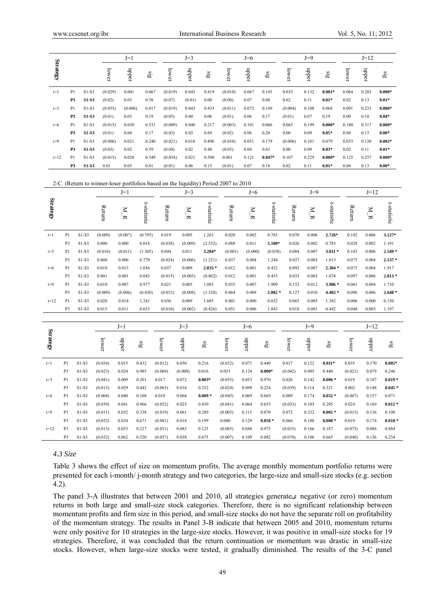|                 |                |              |         | $J=1$   |       |         | $J=3$  |       |         | $J=6$ |          |         | $J=9$ |          |       | $J=12$ |            |
|-----------------|----------------|--------------|---------|---------|-------|---------|--------|-------|---------|-------|----------|---------|-------|----------|-------|--------|------------|
| <b>Strategy</b> |                |              | lower   | nbber   | Sig   | lower   | mbber  | sig   | lower   | nbber | Sig      | lower   | mbber | Sig      | lower | nbber  | $\ddot{a}$ |
| $i=1$           | P1             | S1-S3        | (0.029) | 0.001   | 0.067 | (0.019) | 0.045  | 0.419 | (0.010) | 0.067 | 0.145    | 0.033   | 0.132 | $0.001*$ | 0.064 | 0.203  | $0.000*$   |
|                 | P <sub>3</sub> | <b>S1-S3</b> | (0.02)  | 0.03    | 0.58  | (0.07)  | (0.01) | 0.00  | (0.00)  | 0.07  | 0.08     | 0.02    | 0.11  | $0.01*$  | 0.02  | 0.13   | $0.01*$    |
| $i=3$           | P1             | $S1-S3$      | (0.055) | (0.006) | 0.017 | (0.019) | 0.043  | 0.433 | (0.011) | 0.072 | 0.149    | (0.004) | 0.108 | 0.068    | 0.091 | 0.221  | $0.000*$   |
|                 | P <sub>3</sub> | <b>S1-S3</b> | (0.01)  | 0.03    | 0.19  | (0.05)  | 0.00   | 0.06  | (0.01)  | 0.06  | 0.17     | (0.01)  | 0.07  | 0.19     | 0.00  | 0.10   | $0.04*$    |
| $i=6$           | P1             | $S1-S3$      | (0.015) | 0.030   | 0.531 | (0.009) | 0.040  | 0.217 | (0.003) | 0.101 | 0.066    | 0.063   | 0.199 | $0.000*$ | 0.180 | 0.317  | $0.000*$   |
|                 | P <sub>3</sub> | <b>S1-S3</b> | (0.01)  | 0.04    | 0.17  | (0.03)  | 0.02   | 0.69  | (0.02)  | 0.06  | 0.28     | 0.00    | 0.09  | $0.05*$  | 0.04  | 0.13   | $0.00*$    |
| $i=9$           | P1             | $S1-S3$      | (0.006) | 0.021   | 0.240 | (0.021) | 0.018  | 0.896 | (0.010) | 0.051 | 0.179    | (0.006) | 0.101 | 0.079    | 0.033 | 0.130  | $0.002*$   |
|                 | P <sub>3</sub> | <b>S1-S3</b> | (0.03)  | 0.02    | 0.59  | (0.04)  | 0.02   | 0.48  | (0.03)  | 0.04  | 0.63     | 0.00    | 0.09  | $0.03*$  | 0.02  | 0.11   | $0.01*$    |
| $i=12$          | P <sub>1</sub> | $S1-S3$      | (0.015) | 0.028   | 0.549 | (0.054) | 0.021  | 0.390 | 0.001   | 0.121 | $0.047*$ | 0.107   | 0.229 | $0.000*$ | 0.125 | 0.257  | $0.000*$   |
|                 | P3             | S1-S3        | 0.01    | 0.05    | 0.01  | (0.01)  | 0.06   | 0.15  | (0.01)  | 0.07  | 0.18     | 0.02    | 0.11  | $0.01*$  | 0.04  | 0.13   | $0.00*$    |

#### 2-C. (Return to winner-loser portfolios based on the liquidity) Period 2007 to 2010

|                 |                |         |         | $J=1$          |             |         | $J=3$                         |                                       |         | $J=6$         |                         |         | $J=9$       |                         |         | $J = 12$                      |                     |
|-----------------|----------------|---------|---------|----------------|-------------|---------|-------------------------------|---------------------------------------|---------|---------------|-------------------------|---------|-------------|-------------------------|---------|-------------------------------|---------------------|
| <b>Strategy</b> |                |         | Return  | $\overline{R}$ | t-statistic | Return  | $\overline{M}$ $\overline{M}$ | t-statistic                           | Return  | $\frac{N}{N}$ | t-statistic             | Return  | $N_{\rm I}$ | t-statistic             | Return  | $\overline{N}$ $\overline{N}$ | t-statistic         |
| $i=1$           | P <sub>1</sub> | $S1-S3$ | (0.009) | (0.007)        | (0.795)     | 0.019   | 0.005                         | 1.263                                 | 0.020   | 0.002         | 0.783                   | 0.070   | 0.006       | $2.726*$                | 0.102   | 0.006                         | 3.127*              |
|                 | P <sub>3</sub> | $S1-S3$ | 0.000   | 0.000          | 0.018       | (0.038) | (0.009)                       | (2.532)                               | 0.088   | 0.011         | 5.100*                  | 0.026   | 0.002       | 0.785                   | 0.029   | 0.002                         | 1.191               |
| $i=3$           | P <sub>1</sub> | $S1-S3$ | (0.016) | (0.011)        | (1.305)     | 0.044   | 0.011                         | 3.284*                                | (0.001) | (0.000)       | (0.038)                 | 0.084   | 0.007       | $3.011*$                | 0.103   | 0.006                         | 2.549 *             |
|                 | P <sub>3</sub> | $S1-S3$ | 0.008   | 0.006          | 0.779       | (0.024) | (0.006)                       | (1.221)                               | 0.037   | 0.004         | 1.244                   | 0.037   | 0.003       | 1.013                   | 0.075   | 0.004                         | $2.137*$            |
| $i=6$           | P <sub>1</sub> | $S1-S3$ | 0.018   | 0.013          | 1.656       | 0.037   | 0.009                         | $2.833*$                              | 0.012   | 0.001         | 0.432                   | 0.092   | 0.007       | $2.304*$                | 0.075   | 0.004                         | 1.917               |
|                 | P <sub>3</sub> | $S1-S3$ | 0.001   | 0.001          | 0.043       | (0.015) | (0.003)                       | (0.802)                               | 0.012   | 0.001         | 0.453                   | 0.035   | 0.003       | 1.074                   | 0.097   | 0.006                         | $2.813*$            |
| $i=9$           | P <sub>1</sub> | $S1-S3$ | 0.010   | 0.007          | 0.977       | 0.021   | 0.005                         | 1.085                                 | 0.055   | 0.007         | 1.909                   | 0.152   | 0.012       | 3.986*                  | 0.061   | 0.004                         | 1.710               |
|                 | P <sub>3</sub> | $S1-S3$ | (0.009) | (0.006)        | (0.430)     | (0.032) | (0.008)                       | (1.320)                               | 0.064   | 0.008         | $2.082*$                | 0.127   | 0.010       | $4.402*$                | 0.096   | 0.006                         | $2.648*$            |
| $i=12$          | P <sub>1</sub> | $S1-S3$ | 0.020   | 0.014          | 1.241       | 0.036   | 0.009                         | 1.605                                 | 0.001   | 0.000         | 0.032                   | 0.065   | 0.005       | 1.382                   | 0.006   | 0.000                         | 0.150               |
|                 | P <sub>3</sub> | $S1-S3$ | 0.015   | 0.011          | 0.653       | (0.010) | (0.002)                       | (0.426)                               | 0.051   | 0.006         | 1.843                   | 0.018   | 0.001       | 0.442                   | 0.048   | 0.003                         | 1.197               |
|                 |                |         |         |                |             |         |                               |                                       |         |               |                         |         |             |                         |         |                               |                     |
|                 |                |         |         | $J=1$          |             |         | $J=3$                         |                                       |         | $J=6$         |                         |         | $J=9$       |                         |         | $J=12$                        |                     |
| <b>Strategy</b> |                |         | lower   | mbber          | $\sin$      | lower   | mbber                         | $\overline{\mathbf{g}}_{\mathbf{1S}}$ | lower   | mbber         | $\overline{\mathbf{g}}$ | lower   | nbber       | $\overline{\mathbf{g}}$ | lower   | nbber                         | $\ddot{\mathbf{g}}$ |
| $i=1$           | P <sub>1</sub> | $S1-S3$ | (0.034) | 0.015          | 0.432       | (0.012) | 0.050                         | 0.216                                 | (0.032) | 0.071         | 0.440                   | 0.017   | 0.122       | $0.011*$                | 0.035   | 0.170                         | $0.005*$            |
|                 | P <sub>3</sub> | $S1-S3$ | (0.023) | 0.024          | 0.985       | (0.069) | (0.008)                       | 0.016                                 | 0.053   | 0.124         | $0.000*$                | (0.042) | 0.095       | 0.440                   | (0.021) | 0.079                         | 0.246               |
| $i=3$           | P <sub>1</sub> | $S1-S3$ | (0.041) | 0.009          | 0.201       | 0.017   | 0.072                         | $0.003*$                              | (0.055) | 0.053         | 0.970                   | 0.026   | 0.142       | $0.006 *$               | 0.019   | 0.187                         | $0.019*$            |
|                 | P <sub>3</sub> | $S1-S3$ | (0.013) | 0.029          | 0.442       | (0.063) | 0.016                         | 0.232                                 | (0.024) | 0.098         | 0.224                   | (0.039) | 0.114       | 0.321                   | 0.002   | 0.148                         | $0.045*$            |
| $i=6$           | P <sub>1</sub> | $S1-S3$ | (0.004) | 0.040          | 0.108       | 0.010   | 0.064                         | $0.009*$                              | (0.045) | 0.069         | 0.669                   | 0.009   | 0.174       | $0.032 *$               | (0.007) | 0.157                         | 0.071               |
|                 | P <sub>3</sub> | $S1-S3$ | (0.039) | 0.041          | 0.966       | (0.052) | 0.023                         | 0.430                                 | (0.041) | 0.064         | 0.655                   | (0.033) | 0.103       | 0.295                   | 0.024   | 0.169                         | $0.012 *$           |
| $i=9$           | P <sub>1</sub> | $S1-S3$ | (0.011) | 0.032          | 0.338       | (0.019) | 0.061                         | 0.289                                 | (0.005) | 0.115         | 0.070                   | 0.072   | 0.232       | $0.001 *$               | (0.015) | 0.136                         | 0.108               |
|                 | P <sub>3</sub> | $S1-S3$ | (0.052) | 0.034          | 0.671       | (0.081) | 0.018                         | 0.199                                 | 0.000   | 0.129         | $0.050*$                | 0.066   | 0.188       | $0.000*$                | 0.019   | 0.174                         | $0.018 *$           |
| $i=12$          | P <sub>1</sub> | $S1-S3$ | (0.013) | 0.053          | 0.227       | (0.011) | 0.083                         | 0.123                                 | (0.085) | 0.088         | 0.975                   | (0.035) | 0.166       | 0.187                   | (0.075) | 0.086                         | 0.884               |
|                 | P <sub>3</sub> | $S1-S3$ | (0.032) | 0.062          | 0.520       | (0.057) | 0.038                         | 0.675                                 | (0.007) | 0.109         | 0.082                   | (0.070) | 0.106       | 0.665                   | (0.040) | 0.136                         | 0.254               |

# *4.3 Size*

Table 3 shows the effect of size on momentum profits. The average monthly momentum portfolio returns were presented for each i-month/ j-month strategy and two categories, the large-size and small-size stocks (e.g. section 4.2).

The panel 3-A illustrates that between 2001 and 2010, all strategies generateی negative (or zero) momentum returns in both large and small-size stock categories. Therefore, there is no significant relationship between momentum profits and firm size in this period, and small-size stocks do not have the separate roll on profitability of the momentum strategy. The results in Panel 3-B indicate that between 2005 and 2010, momentum returns were only positive for 10 strategies in the large-size stocks. However, it was positive in small-size stocks for 19 strategies. Therefore, it was concluded that the return continuation or momentum was drastic in small-size stocks. However, when large-size stocks were tested, it gradually diminished. The results of the 3-C panel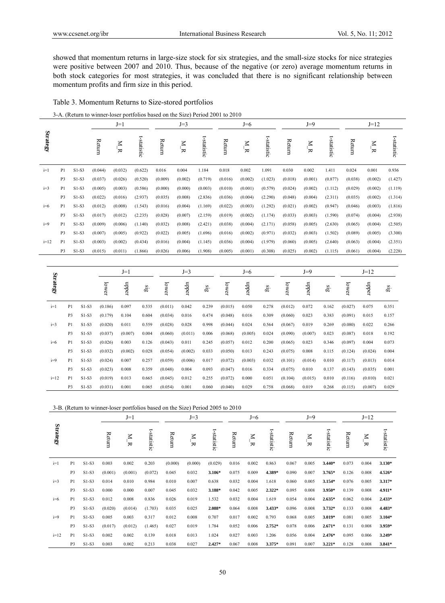showed that momentum returns in large-size stock for six strategies, and the small-size stocks for nice strategies were positive between 2007 and 2010. Thus, because of the negative (or zero) average momentum returns in both stock categories for most strategies, it was concluded that there is no significant relationship between momentum profits and firm size in this period.

# Table 3. Momentum Returns to Size-stored portfolios

|  | 3-A. (Return to winner-loser portfolios based on the Size) Period 2001 to 2010 |  |
|--|--------------------------------------------------------------------------------|--|
|  |                                                                                |  |

|          |                |         | $J=1$   |                   |             | $J=3$   |         |             | $J=6$   |             |             | $J=9$   |         |             | $J=12$  |             |             |
|----------|----------------|---------|---------|-------------------|-------------|---------|---------|-------------|---------|-------------|-------------|---------|---------|-------------|---------|-------------|-------------|
| Strategy |                |         | Return  | $\mathbb{Z}$<br>≂ | t-statistic | Return  | Z<br>₩  | t-statistic | Return  | $\leq$<br>₩ | t-statistic | Return  | Z<br>₩  | t-statistic | Return  | $\leq$<br>₩ | t-statistic |
| $i=1$    | P <sub>1</sub> | S1-S3   | (0.044) | (0.032)           | (0.622)     | 0.016   | 0.004   | 1.184       | 0.018   | 0.002       | 1.091       | 0.030   | 0.002   | 1.411       | 0.024   | 0.001       | 0.936       |
|          | P <sub>3</sub> | $S1-S3$ | (0.037) | (0.026)           | (0.520)     | (0.009) | (0.002) | (0.719)     | (0.016) | (0.002)     | (1.023)     | (0.018) | (0.001) | (0.877)     | (0.038) | (0.002)     | (1.427)     |
| $i=3$    | P <sub>1</sub> | $S1-S3$ | (0.005) | (0.003)           | (0.586)     | (0.000) | (0.000) | (0.003)     | (0.010) | (0.001)     | (0.579)     | (0.024) | (0.002) | (1.112)     | (0.029) | (0.002)     | (1.119)     |
|          | P <sub>3</sub> | $S1-S3$ | (0.022) | (0.016)           | (2.937)     | (0.035) | (0.008) | (2.836)     | (0.036) | (0.004)     | (2.290)     | (0.048) | (0.004) | (2.311)     | (0.035) | (0.002)     | (1.314)     |
| $i=6$    | P <sub>1</sub> | S1-S3   | (0.012) | (0.008)           | (1.543)     | (0.016) | (0.004) | (1.169)     | (0.022) | (0.003)     | (1.292)     | (0.021) | (0.002) | (0.947)     | (0.046) | (0.003)     | (1.816)     |
|          | P <sub>3</sub> | S1-S3   | (0.017) | (0.012)           | (2.235)     | (0.028) | (0.007) | (2.159)     | (0.019) | (0.002)     | (1.174)     | (0.033) | (0.003) | (1.590)     | (0.074) | (0.004)     | (2.938)     |
| $i=9$    | P <sub>1</sub> | S1-S3   | (0.009) | (0.006)           | (1.140)     | (0.032) | (0.008) | (2.421)     | (0.038) | (0.004)     | (2.171)     | (0.058) | (0.005) | (2.630)     | (0.065) | (0.004)     | (2.505)     |
|          | P <sub>3</sub> | $S1-S3$ | (0.007) | (0.005)           | (0.922)     | (0.022) | (0.005) | (1.696)     | (0.016) | (0.002)     | (0.971)     | (0.032) | (0.003) | (1.502)     | (0.089) | (0.005)     | (3.300)     |
| $i=12$   | P <sub>1</sub> | $S1-S3$ | (0.003) | (0.002)           | (0.434)     | (0.016) | (0.004) | (1.145)     | (0.036) | (0.004)     | (1.979)     | (0.060) | (0.005) | (2.640)     | (0.063) | (0.004)     | (2.351)     |
|          | P3             | $S1-S3$ | (0.015) | (0.011)           | (1.866)     | (0.026) | (0.006) | (1.908)     | (0.005) | (0.001)     | (0.308)     | (0.025) | (0.002) | (1.115)     | (0.061) | (0.004)     | (2.228)     |

|          |                |         |         | $J=1$   |       |         | $J=3$   |       |         | $J=6$   |       |         | $J=9$   |                 |         | $J=12$  |            |
|----------|----------------|---------|---------|---------|-------|---------|---------|-------|---------|---------|-------|---------|---------|-----------------|---------|---------|------------|
| Strategy |                |         | lower   | nbber   | sig   | lower   | nbber   | sig   | lower   | mber    | sig   | lower   | mber    | $\frac{315}{2}$ | lower   | nbber   | $\ddot{a}$ |
| $i=1$    | P1             | $S1-S3$ | (0.186) | 0.097   | 0.535 | (0.011) | 0.042   | 0.239 | (0.015) | 0.050   | 0.278 | (0.012) | 0.072   | 0.162           | (0.027) | 0.075   | 0.351      |
|          | P <sub>3</sub> | $S1-S3$ | (0.179) | 0.104   | 0.604 | (0.034) | 0.016   | 0.474 | (0.048) | 0.016   | 0.309 | (0.060) | 0.023   | 0.383           | (0.091) | 0.015   | 0.157      |
| $i=3$    | P1             | $S1-S3$ | (0.020) | 0.011   | 0.559 | (0.028) | 0.028   | 0.998 | (0.044) | 0.024   | 0.564 | (0.067) | 0.019   | 0.269           | (0.080) | 0.022   | 0.266      |
|          | P3             | $S1-S3$ | (0.037) | (0.007) | 0.004 | (0.060) | (0.011) | 0.006 | (0.068) | (0.005) | 0.024 | (0.090) | (0.007) | 0.023           | (0.087) | 0.018   | 0.192      |
| $i=6$    | P1             | $S1-S3$ | (0.026) | 0.003   | 0.126 | (0.043) | 0.011   | 0.245 | (0.057) | 0.012   | 0.200 | (0.065) | 0.023   | 0.346           | (0.097) | 0.004   | 0.073      |
|          | P <sub>3</sub> | $S1-S3$ | (0.032) | (0.002) | 0.028 | (0.054) | (0.002) | 0.033 | (0.050) | 0.013   | 0.243 | (0.075) | 0.008   | 0.115           | (0.124) | (0.024) | 0.004      |
| $i=9$    | P1             | $S1-S3$ | (0.024) | 0.007   | 0.257 | (0.059) | (0.006) | 0.017 | (0.072) | (0.003) | 0.032 | (0.101) | (0.014) | 0.010           | (0.117) | (0.013) | 0.014      |
|          | P <sub>3</sub> | $S1-S3$ | (0.023) | 0.008   | 0.359 | (0.048) | 0.004   | 0.093 | (0.047) | 0.016   | 0.334 | (0.075) | 0.010   | 0.137           | (0.143) | (0.035) | 0.001      |
| $i=12$   | P <sub>1</sub> | $S1-S3$ | (0.019) | 0.013   | 0.665 | (0.045) | 0.012   | 0.255 | (0.072) | 0.000   | 0.051 | (0.104) | (0.015) | 0.010           | (0.116) | (0.010) | 0.021      |
|          | P <sub>3</sub> | $S1-S3$ | (0.031) | 0.001   | 0.065 | (0.054) | 0.001   | 0.060 | (0.040) | 0.029   | 0.758 | (0.068) | 0.019   | 0.268           | (0.115) | (0.007) | 0.029      |

|          |                |         |         | $J=1$          |             |         | $J=3$          |             |        | $J=6$                         |             |        | $J=9$                 |             |        | $J=12$         |             |  |
|----------|----------------|---------|---------|----------------|-------------|---------|----------------|-------------|--------|-------------------------------|-------------|--------|-----------------------|-------------|--------|----------------|-------------|--|
| Strategy |                |         | Return  | Σ<br>$\approx$ | t-statistic | Return  | $\overline{R}$ | t-statistic | Return | $\overline{M}$ $\overline{M}$ | t-statistic | Return | $_{\rm N}$ $_{\rm R}$ | t-statistic | Return | $\overline{R}$ | t-statistic |  |
| $i=1$    | P1             | $S1-S3$ | 0.003   | 0.002          | 0.203       | (0.000) | (0.000)        | (0.029)     | 0.016  | 0.002                         | 0.863       | 0.067  | 0.005                 | 3.440*      | 0.073  | 0.004          | 3.130*      |  |
|          | P <sub>3</sub> | $S1-S3$ | (0.001) | (0.001)        | (0.072)     | 0.045   | 0.032          | 3.106*      | 0.075  | 0.009                         | 4.389*      | 0.090  | 0.007                 | 3.765*      | 0.126  | 0.008          | 4.526*      |  |
| $i=3$    | P1             | $S1-S3$ | 0.014   | 0.010          | 0.984       | 0.010   | 0.007          | 0.638       | 0.032  | 0.004                         | 1.618       | 0.060  | 0.005                 | 3.154*      | 0.076  | 0.005          | 3.317*      |  |
|          | P <sub>3</sub> | $S1-S3$ | 0.000   | 0.000          | 0.007       | 0.045   | 0.032          | 3.188*      | 0.042  | 0.005                         | 2.322*      | 0.095  | 0.008                 | 3.950*      | 0.139  | 0.008          | 4.911*      |  |
| $i=6$    | P <sub>1</sub> | $S1-S3$ | 0.012   | 0.008          | 0.836       | 0.026   | 0.019          | 1.532       | 0.032  | 0.004                         | 1.619       | 0.054  | 0.004                 | $2.635*$    | 0.062  | 0.004          | 2.433*      |  |
|          | P3             | $S1-S3$ | (0.020) | (0.014)        | (1.703)     | 0.035   | 0.025          | 2.088*      | 0.064  | 0.008                         | $3.433*$    | 0.096  | 0.008                 | 3.732*      | 0.133  | 0.008          | 4.483*      |  |
| $i=9$    | P <sub>1</sub> | $S1-S3$ | 0.005   | 0.003          | 0.317       | 0.012   | 0.008          | 0.707       | 0.017  | 0.002                         | 0.793       | 0.068  | 0.005                 | 3.019*      | 0.081  | 0.005          | 3.104*      |  |
|          | P <sub>3</sub> | $S1-S3$ | (0.017) | (0.012)        | (1.465)     | 0.027   | 0.019          | 1.784       | 0.052  | 0.006                         | 2.752*      | 0.078  | 0.006                 | $2.671*$    | 0.131  | 0.008          | 3.959*      |  |
| $i=12$   | P <sub>1</sub> | $S1-S3$ | 0.002   | 0.002          | 0.139       | 0.018   | 0.013          | 1.024       | 0.027  | 0.003                         | 1.206       | 0.056  | 0.004                 | 2.476*      | 0.095  | 0.006          | 3.249*      |  |
|          | P <sub>3</sub> | $S1-S3$ | 0.003   | 0.002          | 0.213       | 0.038   | 0.027          | $2.427*$    | 0.067  | 0.008                         | 3.375*      | 0.091  | 0.007                 | $3.221*$    | 0.128  | 0.008          | 3.841*      |  |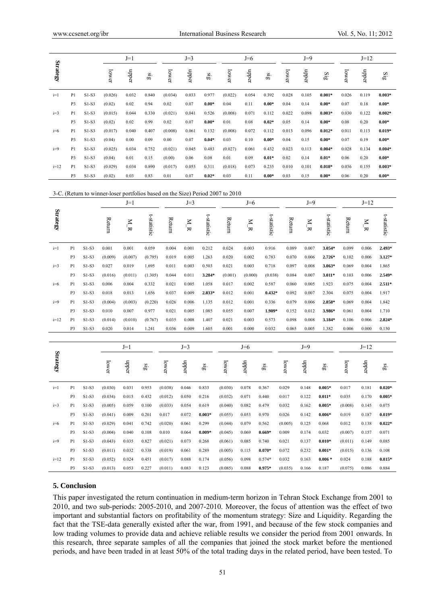|          |                |         | $J=1$   |       |                         | $J=3$   |       |         |         | $J=6$ |         |       | $J=9$ |                            |       | $J=12$ |          |  |
|----------|----------------|---------|---------|-------|-------------------------|---------|-------|---------|---------|-------|---------|-------|-------|----------------------------|-------|--------|----------|--|
| Strategy |                |         | lower   | mbber | $\overline{\mathbf{g}}$ | lower   | mbber | $\sin$  | lower   | nbber | $\sin$  | lower | nbber | $\mathbf{Si}^{\mathbf{g}}$ | lower | nbber  | SiS      |  |
| $i=1$    | P <sub>1</sub> | $S1-S3$ | (0.026) | 0.032 | 0.840                   | (0.034) | 0.033 | 0.977   | (0.022) | 0.054 | 0.392   | 0.028 | 0.105 | $0.001*$                   | 0.026 | 0.119  | $0.003*$ |  |
|          | P <sub>3</sub> | $S1-S3$ | (0.02)  | 0.02  | 0.94                    | 0.02    | 0.07  | $0.00*$ | 0.04    | 0.11  | $0.00*$ | 0.04  | 0.14  | $0.00*$                    | 0.07  | 0.18   | $0.00*$  |  |
| $i=3$    | P <sub>1</sub> | $S1-S3$ | (0.015) | 0.044 | 0.330                   | (0.021) | 0.041 | 0.526   | (0.008) | 0.071 | 0.112   | 0.022 | 0.098 | $0.003*$                   | 0.030 | 0.122  | $0.002*$ |  |
|          | P <sub>3</sub> | $S1-S3$ | (0.02)  | 0.02  | 0.99                    | 0.02    | 0.07  | $0.00*$ | 0.01    | 0.08  | $0.02*$ | 0.05  | 0.14  | $0.00*$                    | 0.08  | 0.20   | $0.00*$  |  |
| $i=6$    | P1             | $S1-S3$ | (0.017) | 0.040 | 0.407                   | (0.008) | 0.061 | 0.132   | (0.008) | 0.072 | 0.112   | 0.013 | 0.096 | $0.012*$                   | 0.011 | 0.113  | $0.019*$ |  |
|          | P <sub>3</sub> | $S1-S3$ | (0.04)  | 0.00  | 0.09                    | 0.00    | 0.07  | $0.04*$ | 0.03    | 0.10  | $0.00*$ | 0.04  | 0.15  | $0.00*$                    | 0.07  | 0.19   | $0.00*$  |  |
| $i=9$    | P1             | $S1-S3$ | (0.025) | 0.034 | 0.752                   | (0.021) | 0.045 | 0.483   | (0.027) | 0.061 | 0.432   | 0.023 | 0.113 | $0.004*$                   | 0.028 | 0.134  | $0.004*$ |  |
|          | P <sub>3</sub> | $S1-S3$ | (0.04)  | 0.01  | 0.15                    | (0.00)  | 0.06  | 0.08    | 0.01    | 0.09  | $0.01*$ | 0.02  | 0.14  | $0.01*$                    | 0.06  | 0.20   | $0.00*$  |  |
| $i=12$   | P <sub>1</sub> | $S1-S3$ | (0.029) | 0.034 | 0.890                   | (0.017) | 0.053 | 0.311   | (0.018) | 0.073 | 0.235   | 0.010 | 0.101 | $0.018*$                   | 0.036 | 0.155  | $0.003*$ |  |
|          | P <sub>3</sub> | $S1-S3$ | (0.02)  | 0.03  | 0.83                    | 0.01    | 0.07  | $0.02*$ | 0.03    | 0.11  | $0.00*$ | 0.03  | 0.15  | $0.00*$                    | 0.06  | 0.20   | $0.00*$  |  |

3-C. (Return to winner-loser portfolios based on the Size) Period 2007 to 2010

|                 |                |         |         | $J=1$            |                         |         | $J=3$          |                         |         | $J=6$             |                            |         | $J=9$                         |                         |         | $J=12$           |                         |  |
|-----------------|----------------|---------|---------|------------------|-------------------------|---------|----------------|-------------------------|---------|-------------------|----------------------------|---------|-------------------------------|-------------------------|---------|------------------|-------------------------|--|
| <b>Strategy</b> |                |         | Return  | $\overline{M}$ B | t-statistic             | Return  | $\overline{R}$ | t-statistic             | Return  | $\overline{R}$ ik | t-statistic                | Return  | $\overline{M}$ $\overline{M}$ | t-statistic             | Return  | $\sum_{i=1}^{N}$ | t-statistic             |  |
| $i=1$           | P <sub>1</sub> | $S1-S3$ | 0.001   | 0.001            | 0.059                   | 0.004   | 0.001          | 0.212                   | 0.024   | 0.003             | 0.916                      | 0.089   | 0.007                         | 3.054*                  | 0.099   | 0.006            | 2.493*                  |  |
|                 | P <sub>3</sub> | $S1-S3$ | (0.009) | (0.007)          | (0.795)                 | 0.019   | 0.005          | 1.263                   | 0.020   | 0.002             | 0.783                      | 0.070   | 0.006                         | 2.726*                  | 0.102   | 0.006            | 3.127*                  |  |
| $i=3$           | P1             | $S1-S3$ | 0.027   | 0.019            | 1.695                   | 0.011   | 0.003          | 0.503                   | 0.021   | 0.003             | 0.718                      | 0.097   | 0.008                         | 3.063*                  | 0.069   | 0.004            | 1.865                   |  |
|                 | P <sub>3</sub> | $S1-S3$ | (0.016) | (0.011)          | (1.305)                 | 0.044   | 0.011          | 3.284*                  | (0.001) | (0.000)           | (0.038)                    | 0.084   | 0.007                         | $3.011*$                | 0.103   | 0.006            | 2.549*                  |  |
| $i=6$           | P1             | $S1-S3$ | 0.006   | 0.004            | 0.332                   | 0.021   | 0.005          | 1.058                   | 0.017   | 0.002             | 0.587                      | 0.060   | 0.005                         | 1.923                   | 0.075   | 0.004            | $2.511*$                |  |
|                 | P <sub>3</sub> | $S1-S3$ | 0.018   | 0.013            | 1.656                   | 0.037   | 0.009          | 2.833*                  | 0.012   | 0.001             | $0.432*$                   | 0.092   | 0.007                         | 2.304                   | 0.075   | 0.004            | 1.917                   |  |
| $i=9$           | P1             | $S1-S3$ | (0.004) | (0.003)          | (0.220)                 | 0.026   | 0.006          | 1.135                   | 0.012   | 0.001             | 0.336                      | 0.079   | 0.006                         | 2.858*                  | 0.069   | 0.004            | 1.842                   |  |
|                 | P <sub>3</sub> | $S1-S3$ | 0.010   | 0.007            | 0.977                   | 0.021   | 0.005          | 1.085                   | 0.055   | 0.007             | 1.909*                     | 0.152   | 0.012                         | 3.986*                  | 0.061   | 0.004            | 1.710                   |  |
| $i=12$          | P1             | $S1-S3$ | (0.014) | (0.010)          | (0.767)                 | 0.035   | 0.008          | 1.407                   | 0.021   | 0.003             | 0.573                      | 0.098   | 0.008                         | 3.184*                  | 0.106   | 0.006            | 2.824*                  |  |
|                 | P3             | $S1-S3$ | 0.020   | 0.014            | 1.241                   | 0.036   | 0.009          | 1.605                   | 0.001   | 0.000             | 0.032                      | 0.065   | 0.005                         | 1.382                   | 0.006   | 0.000            | 0.150                   |  |
|                 |                |         |         |                  |                         |         |                |                         |         |                   |                            |         |                               |                         |         |                  |                         |  |
|                 |                |         | $J=1$   |                  | $J=3$                   |         |                | $J=6$                   |         |                   |                            | $J=9$   |                               |                         | $J=12$  |                  |                         |  |
| <b>Strategy</b> |                |         | lower   | nbber            | $\overline{\mathbf{g}}$ | lower   | mbber          | $\overline{\mathbf{a}}$ | lower   | mbber             | $\overline{\mathfrak{so}}$ | lower   | mbber                         | $\overline{\mathbf{a}}$ | lower   | nbber            | $\overline{\mathbf{a}}$ |  |
| $i=1$           | P1             | $S1-S3$ | (0.030) | 0.031            | 0.953                   | (0.038) | 0.046          | 0.833                   | (0.030) | 0.078             | 0.367                      | 0.029   | 0.148                         | $0.005*$                | 0.017   | 0.181            | $0.020*$                |  |
|                 | P3             | $S1-S3$ | (0.034) | 0.015            | 0.432                   | (0.012) | 0.050          | 0.216                   | (0.032) | 0.071             | 0.440                      | 0.017   | 0.122                         | $0.011*$                | 0.035   | 0.170            | $0.005*$                |  |
| $i=3$           | P1             | $S1-S3$ | (0.005) | 0.059            | 0.100                   | (0.033) | 0.054          | 0.619                   | (0.040) | 0.082             | 0.479                      | 0.032   | 0.162                         | $0.005*$                | (0.008) | 0.145            | 0.075                   |  |
|                 | P <sub>3</sub> | $S1-S3$ | (0.041) | 0.009            | 0.201                   | 0.017   | 0.072          | $0.003*$                | (0.055) | 0.053             | 0.970                      | 0.026   | 0.142                         | $0.006*$                | 0.019   | 0.187            | $0.019*$                |  |
| $i=6$           | P1             | $S1-S3$ | (0.029) | 0.041            | 0.742                   | (0.020) | 0.061          | 0.299                   | (0.044) | 0.079             | 0.562                      | (0.005) | 0.125                         | 0.068                   | 0.012   | 0.138            | $0.022*$                |  |
|                 | P3             | $S1-S3$ | (0.004) | 0.040            | 0.108                   | 0.010   | 0.064          | $0.009*$                | (0.045) | 0.069             | $0.669*$                   | 0.009   | 0.174                         | 0.032                   | (0.007) | 0.157            | 0.071                   |  |
| $i=9$           | P1             | $S1-S3$ | (0.043) | 0.035            | 0.827                   | (0.021) | 0.073          | 0.268                   | (0.061) | 0.085             | 0.740                      | 0.021   | 0.137                         | $0.010*$                | (0.011) | 0.149            | 0.085                   |  |
|                 | P <sub>3</sub> | $S1-S3$ | (0.011) | 0.032            | 0.338                   | (0.019) | 0.061          | 0.289                   | (0.005) | 0.115             | $0.070*$                   | 0.072   | 0.232                         | $0.001*$                | (0.015) | 0.136            | 0.108                   |  |
| $i=12$          | P1             | $S1-S3$ | (0.052) | 0.024            | 0.451                   | (0.017) | 0.088          | 0.174                   | (0.056) | 0.098             | 0.574*                     | 0.032   | 0.163                         | $0.006 *$               | 0.024   | 0.188            | $0.015*$                |  |
|                 | P3             | $S1-S3$ | (0.013) | 0.053            | 0.227                   | (0.011) | 0.083          | 0.123                   | (0.085) | 0.088             | $0.975*$                   | (0.035) | 0.166                         | 0.187                   | (0.075) | 0.086            | 0.884                   |  |

#### **5. Conclusion**

This paper investigated the return continuation in medium-term horizon in Tehran Stock Exchange from 2001 to 2010, and two sub-periods: 2005-2010, and 2007-2010. Moreover, the focus of attention was the effect of two important and substantial factors on profitability of the momentum strategy: Size and Liquidity. Regarding the fact that the TSE-data generally existed after the war, from 1991, and because of the few stock companies and low trading volumes to provide data and achieve reliable results we consider the period from 2001 onwards. In this research, three separate samples of all the companies that joined the stock market before the mentioned periods, and have been traded in at least 50% of the total trading days in the related period, have been tested. To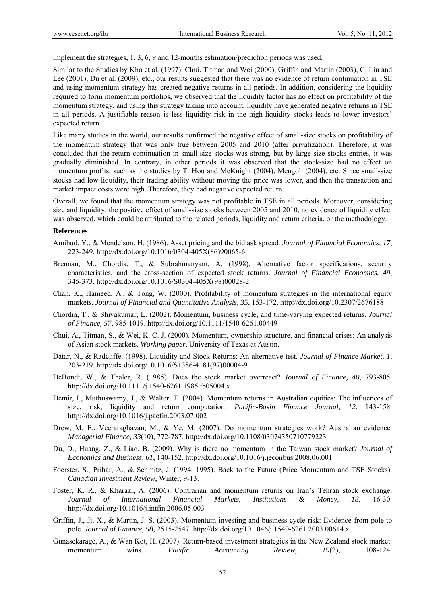implement the strategies, 1, 3, 6, 9 and 12-months estimation/prediction periods was used.

Similar to the Studies by Kho et al. (1997), Chui, Titman and Wei (2000), Griffin and Martin (2003), C. Liu and Lee (2001), Du et al. (2009), etc., our results suggested that there was no evidence of return continuation in TSE and using momentum strategy has created negative returns in all periods. In addition, considering the liquidity required to form momentum portfolios, we observed that the liquidity factor has no effect on profitability of the momentum strategy, and using this strategy taking into account, liquidity have generated negative returns in TSE in all periods. A justifiable reason is less liquidity risk in the high-liquidity stocks leads to lower investors' expected return.

Like many studies in the world, our results confirmed the negative effect of small-size stocks on profitability of the momentum strategy that was only true between 2005 and 2010 (after privatization). Therefore, it was concluded that the return continuation in small-size stocks was strong, but by large-size stocks entries, it was gradually diminished. In contrary, in other periods it was observed that the stock-size had no effect on momentum profits, such as the studies by T. Hou and McKnight (2004), Mengoli (2004), etc. Since small-size stocks had low liquidity, their trading ability without moving the price was lower, and then the transaction and market impact costs were high. Therefore, they had negative expected return.

Overall, we found that the momentum strategy was not profitable in TSE in all periods. Moreover, considering size and liquidity, the positive effect of small-size stocks between 2005 and 2010, no evidence of liquidity effect was observed, which could be attributed to the related periods, liquidity and return criteria, or the methodology.

#### **References**

- Amihud, Y., & Mendelson, H. (1986). Asset pricing and the bid ask spread. *Journal of Financial Economics, 17*, 223-249. http://dx.doi.org/10.1016/0304-405X(86)90065-6
- Brennan, M., Chordia, T., & Subrahmanyam, A. (1998). Alternative factor specifications, security characteristics, and the cross-section of expected stock returns. *Journal of Financial Economics, 49*, 345-373. http://dx.doi.org/10.1016/S0304-405X(98)00028-2
- Chan, K., Hameed, A., & Tong, W. (2000). Profitability of momentum strategies in the international equity markets. *Journal of Financial and Quantitative Analysis, 35*, 153-172. http://dx.doi.org/10.2307/2676188
- Chordia, T., & Shivakumar, L. (2002). Momentum, business cycle, and time-varying expected returns. *Journal of Finance, 57*, 985-1019. http://dx.doi.org/10.1111/1540-6261.00449
- Chui, A., Titman, S., & Wei, K. C. J. (2000). Momentum, ownership structure, and financial crises: An analysis of Asian stock markets. *Working paper*, University of Texas at Austin.
- Datar, N., & Radcliffe. (1998). Liquidity and Stock Returns: An alternative test. *Journal of Finance Market, 1*, 203-219. http://dx.doi.org/10.1016/S1386-4181(97)00004-9
- DeBondt, W., & Thaler, R. (1985). Does the stock market overreact? *Journal of Finance, 40*, 793-805. http://dx.doi.org/10.1111/j.1540-6261.1985.tb05004.x
- Demir, I., Muthuswamy, J., & Walter, T. (2004). Momentum returns in Australian equities: The influences of size, risk, liquidity and return computation. *Pacific-Basin Finance Journal, 12*, 143-158. http://dx.doi.org/10.1016/j.pacfin.2003.07.002
- Drew, M. E., Veeraraghavan, M., & Ye, M. (2007). Do momentum strategies work? Australian evidence*. Managerial Finance, 33*(10), 772-787. http://dx.doi.org/10.1108/03074350710779223
- Du, D., Huang, Z., & Liao, B. (2009). Why is there no momentum in the Taiwan stock market? *Journal of Economics and Business, 61*, 140-152. http://dx.doi.org/10.1016/j.jeconbus.2008.06.001
- Foerster, S., Prihar, A., & Schmitz, J. (1994, 1995). Back to the Future (Price Momentum and TSE Stocks). *Canadian Investment Review*, Winter, 9-13.
- Foster, K. R., & Kharazi, A. (2006). Contrarian and momentum returns on Iran's Tehran stock exchange. *Journal of International Financial Markets, Institutions & Money, 18*, 16-30. http://dx.doi.org/10.1016/j.intfin.2006.05.003
- Griffin, J., Ji, X., & Martin, J. S. (2003). Momentum investing and business cycle risk: Evidence from pole to pole. *Journal of Finance, 58*, 2515-2547. http://dx.doi.org/10.1046/j.1540-6261.2003.00614.x
- Gunasekarage, A., & Wan Kot, H. (2007). Return-based investment strategies in the New Zealand stock market: momentum wins. *Pacific Accounting Review*, 19(2), 108-124.